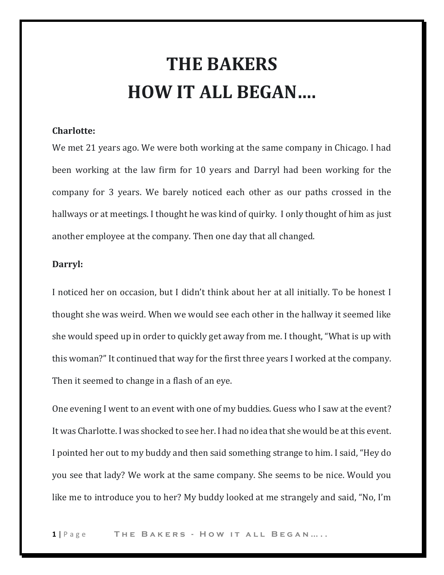## **THE BAKERS HOW IT ALL BEGAN….**

## **Charlotte:**

We met 21 years ago. We were both working at the same company in Chicago. I had been working at the law firm for 10 years and Darryl had been working for the company for 3 years. We barely noticed each other as our paths crossed in the hallways or at meetings. I thought he was kind of quirky. I only thought of him as just another employee at the company. Then one day that all changed.

## **Darryl:**

I noticed her on occasion, but I didn't think about her at all initially. To be honest I thought she was weird. When we would see each other in the hallway it seemed like she would speed up in order to quickly get away from me. I thought, "What is up with this woman?" It continued that way for the first three years I worked at the company. Then it seemed to change in a flash of an eye.

One evening I went to an event with one of my buddies. Guess who I saw at the event? It was Charlotte. I was shocked to see her. I had no idea that she would be at this event. I pointed her out to my buddy and then said something strange to him. I said, "Hey do you see that lady? We work at the same company. She seems to be nice. Would you like me to introduce you to her? My buddy looked at me strangely and said, "No, I'm

**1** | P a g e **T h e B a k e r s - H o w i t a l l B e g a n … . .**